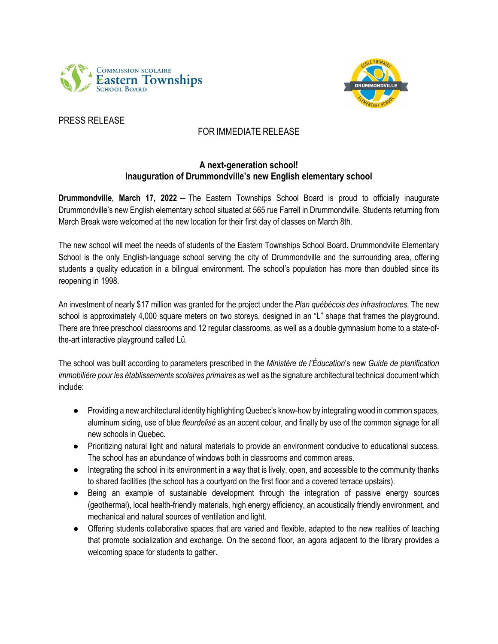



## PRESS RELEASE

## FOR IMMEDIATE RELEASE

## **A next-generation school! Inauguration of Drummondville's new English elementary school**

**Drummondville, March 17, 2022** ― The Eastern Townships School Board is proud to officially inaugurate Drummondville's new English elementary school situated at 565 rue Farrell in Drummondville. Students returning from March Break were welcomed at the new location for their first day of classes on March 8th.

The new school will meet the needs of students of the Eastern Townships School Board. Drummondville Elementary School is the only English-language school serving the city of Drummondville and the surrounding area, offering students a quality education in a bilingual environment. The school's population has more than doubled since its reopening in 1998.

An investment of nearly \$17 million was granted for the project under the *Plan québécois des infrastructures*. The new school is approximately 4,000 square meters on two storeys, designed in an "L" shape that frames the playground. There are three preschool classrooms and 12 regular classrooms, as well as a double gymnasium home to a state-ofthe-art interactive playground called Lü.

The school was built according to parameters prescribed in the *Ministère de l'Éducation*'s new *Guide de planification immobilière pour les établissements scolaires primaires* as well as the signature architectural technical document which include:

- Providing a new architectural identity highlighting Quebec's know-how by integrating wood in common spaces, aluminum siding, use of blue *fleurdelisé* as an accent colour*,* and finally by use of the common signage for all new schools in Quebec.
- Prioritizing natural light and natural materials to provide an environment conducive to educational success. The school has an abundance of windows both in classrooms and common areas.
- Integrating the school in its environment in a way that is lively, open, and accessible to the community thanks to shared facilities (the school has a courtyard on the first floor and a covered terrace upstairs).
- Being an example of sustainable development through the integration of passive energy sources (geothermal), local health-friendly materials, high energy efficiency, an acoustically friendly environment, and mechanical and natural sources of ventilation and light.
- Offering students collaborative spaces that are varied and flexible, adapted to the new realities of teaching that promote socialization and exchange. On the second floor, an agora adjacent to the library provides a welcoming space for students to gather.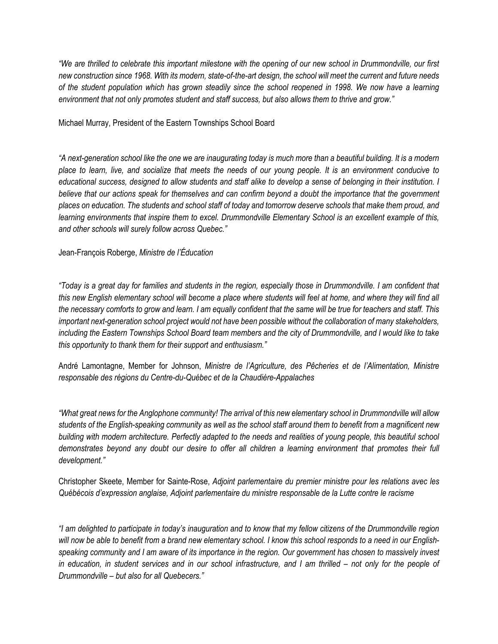*"We are thrilled to celebrate this important milestone with the opening of our new school in Drummondville, our first new construction since 1968. With its modern, state-of-the-art design, the school will meet the current and future needs of the student population which has grown steadily since the school reopened in 1998. We now have a learning environment that not only promotes student and staff success, but also allows them to thrive and grow."*

Michael Murray, President of the Eastern Townships School Board

*"A next-generation school like the one we are inaugurating today is much more than a beautiful building. It is a modern place to learn, live, and socialize that meets the needs of our young people. It is an environment conducive to educational success, designed to allow students and staff alike to develop a sense of belonging in their institution. I believe that our actions speak for themselves and can confirm beyond a doubt the importance that the government places on education. The students and school staff of today and tomorrow deserve schools that make them proud, and learning environments that inspire them to excel. Drummondville Elementary School is an excellent example of this, and other schools will surely follow across Quebec."*

Jean-François Roberge, *Ministre de l'Éducation*

*"Today is a great day for families and students in the region, especially those in Drummondville. I am confident that*  this new English elementary school will become a place where students will feel at home, and where they will find all *the necessary comforts to grow and learn. I am equally confident that the same will be true for teachers and staff. This important next-generation school project would not have been possible without the collaboration of many stakeholders, including the Eastern Townships School Board team members and the city of Drummondville, and I would like to take this opportunity to thank them for their support and enthusiasm."*

André Lamontagne, Member for Johnson, *Ministre de l'Agriculture, des Pêcheries et de l'Alimentation, Ministre responsable des régions du Centre-du-Québec et de la Chaudière-Appalaches* 

*"What great news for the Anglophone community! The arrival of this new elementary school in Drummondville will allow students of the English-speaking community as well as the school staff around them to benefit from a magnificent new building with modern architecture. Perfectly adapted to the needs and realities of young people, this beautiful school demonstrates beyond any doubt our desire to offer all children a learning environment that promotes their full development."*

Christopher Skeete, Member for Sainte-Rose, *Adjoint parlementaire du premier ministre pour les relations avec les Québécois d'expression anglaise, Adjoint parlementaire du ministre responsable de la Lutte contre le racisme*

*"I am delighted to participate in today's inauguration and to know that my fellow citizens of the Drummondville region will now be able to benefit from a brand new elementary school. I know this school responds to a need in our Englishspeaking community and I am aware of its importance in the region. Our government has chosen to massively invest in education, in student services and in our school infrastructure, and I am thrilled – not only for the people of Drummondville – but also for all Quebecers."*